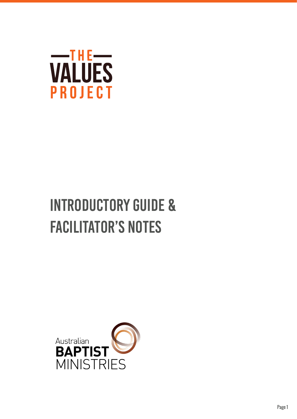

# Introductory Guide & Facilitator's Notes

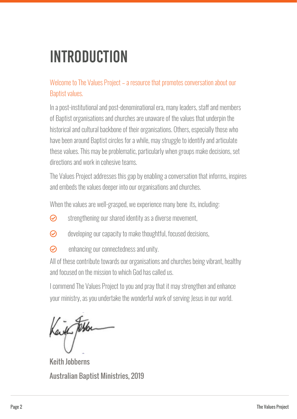## Introduction

#### Welcome to The Values Project – a resource that promotes conversation about our Baptist values.

In a post-institutional and post-denominational era, many leaders, staff and members of Baptist organisations and churches are unaware of the values that underpin the historical and cultural backbone of their organisations. Others, especially those who have been around Baptist circles for a while, may struggle to identify and articulate these values. This may be problematic, particularly when groups make decisions, set directions and work in cohesive teams.

The Values Project addresses this gap by enabling a conversation that informs, inspires and embeds the values deeper into our organisations and churches.

When the values are well-grasped, we experience many bene its, including:

- $\odot$  strengthening our shared identity as a diverse movement,
- $\odot$  developing our capacity to make thoughtful, focused decisions,
- $\odot$  enhancing our connectedness and unity.

All of these contribute towards our organisations and churches being vibrant, healthy and focused on the mission to which God has called us.

I commend The Values Project to you and pray that it may strengthen and enhance your ministry, as you undertake the wonderful work of serving Jesus in our world.

eith 1046

Keith Jobberns Australian Baptist Ministries, 2019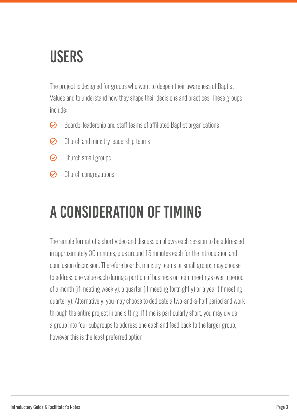### **USERS**

The project is designed for groups who want to deepen their awareness of Baptist Values and to understand how they shape their decisions and practices. These groups include:

- $\odot$  Boards, leadership and staff teams of affiliated Baptist organisations
- $\odot$  Church and ministry leadership teams
- $\odot$  Church small groups
- $\odot$  Church congregations

## A consideration of timing

The simple format of a short video and discussion allows each session to be addressed in approximately 30 minutes, plus around 15 minutes each for the introduction and conclusion discussion. Therefore boards, ministry teams or small groups may choose to address one value each during a portion of business or team meetings over a period of a month (if meeting weekly), a quarter (if meeting fortnightly) or a year (if meeting quarterly). Alternatively, you may choose to dedicate a two-and-a-half period and work through the entire project in one sitting. If time is particularly short, you may divide a group into four subgroups to address one each and feed back to the larger group, however this is the least preferred option.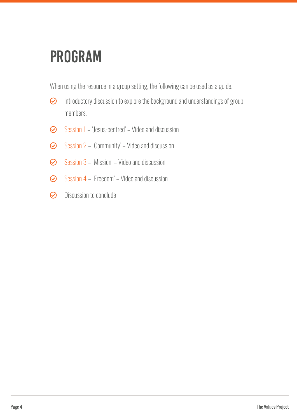### Program

When using the resource in a group setting, the following can be used as a guide.

- $\odot$  Introductory discussion to explore the background and understandings of group members.
- $\odot$  Session 1 'Jesus-centred' Video and discussion
- $\odot$  Session 2 'Community' Video and discussion
- $\odot$  Session 3 'Mission' Video and discussion
- $\odot$  Session 4 'Freedom' Video and discussion
- $\odot$  Discussion to conclude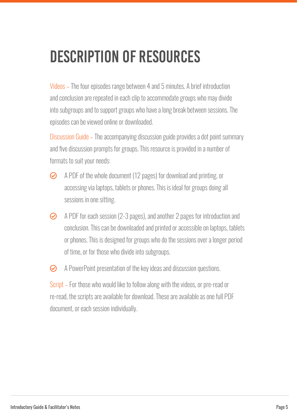## Description of resources

Videos – The four episodes range between 4 and 5 minutes. A brief introduction and conclusion are repeated in each clip to accommodate groups who may divide into subgroups and to support groups who have a long break between sessions. The episodes can be viewed online or downloaded.

Discussion Guide – The accompanying discussion guide provides a dot point summary and five discussion prompts for groups. This resource is provided in a number of formats to suit your needs:

- $\odot$  A PDF of the whole document (12 pages) for download and printing, or accessing via laptops, tablets or phones. This is ideal for groups doing all sessions in one sitting.
- $\odot$  A PDF for each session (2-3 pages), and another 2 pages for introduction and conclusion. This can be downloaded and printed or accessible on laptops, tablets or phones. This is designed for groups who do the sessions over a longer period of time, or for those who divide into subgroups.
- $\odot$  A PowerPoint presentation of the key ideas and discussion questions.

Script – For those who would like to follow along with the videos, or pre-read or re-read, the scripts are available for download. These are available as one full PDF document, or each session individually.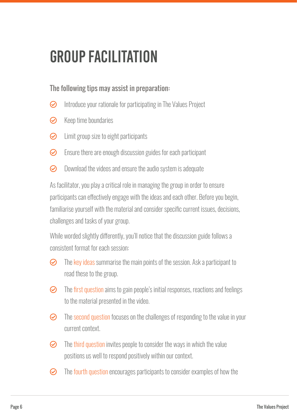### Group Facilitation

#### The following tips may assist in preparation:

- $\odot$  Introduce your rationale for participating in The Values Project
- $\odot$  Keep time boundaries
- $\odot$  Limit group size to eight participants
- $\odot$  Ensure there are enough discussion guides for each participant
- $\odot$  Download the videos and ensure the audio system is adequate

As facilitator, you play a critical role in managing the group in order to ensure participants can effectively engage with the ideas and each other. Before you begin, familiarise yourself with the material and consider specific current issues, decisions, challenges and tasks of your group.

While worded slightly differently, you'll notice that the discussion guide follows a consistent format for each session:

- $\odot$  The key ideas summarise the main points of the session. Ask a participant to read these to the group.
- $\odot$  The first question aims to gain people's initial responses, reactions and feelings to the material presented in the video.
- $\odot$  The second question focuses on the challenges of responding to the value in your current context.
- $\odot$  The third question invites people to consider the ways in which the value positions us well to respond positively within our context.
- $\odot$  The fourth question encourages participants to consider examples of how the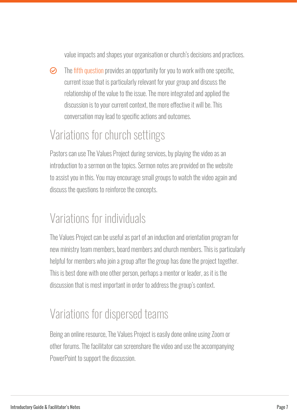value impacts and shapes your organisation or church's decisions and practices.

 $\odot$  The fifth question provides an opportunity for you to work with one specific, current issue that is particularly relevant for your group and discuss the relationship of the value to the issue. The more integrated and applied the discussion is to your current context, the more effective it will be. This conversation may lead to specific actions and outcomes.

### Variations for church settings

Pastors can use The Values Project during services, by playing the video as an introduction to a sermon on the topics. Sermon notes are provided on the website to assist you in this. You may encourage small groups to watch the video again and discuss the questions to reinforce the concepts.

### Variations for individuals

The Values Project can be useful as part of an induction and orientation program for new ministry team members, board members and church members. This is particularly helpful for members who join a group after the group has done the project together. This is best done with one other person, perhaps a mentor or leader, as it is the discussion that is most important in order to address the group's context.

### Variations for dispersed teams

Being an online resource, The Values Project is easily done online using Zoom or other forums. The facilitator can screenshare the video and use the accompanying PowerPoint to support the discussion.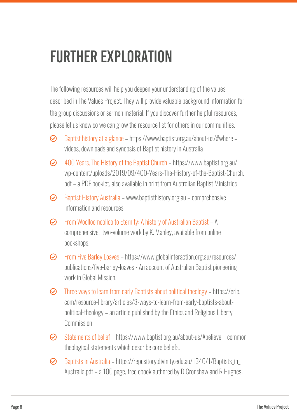### Further exploration

The following resources will help you deepen your understanding of the values described in The Values Project. They will provide valuable background information for the group discussions or sermon material. If you discover further helpful resources, please let us know so we can grow the resource list for others in our communities.

- $\odot$  Baptist history at a glance https://www.baptist.org.au/about-us/#where videos, downloads and synopsis of Baptist history in Australia
- M 400 Years, The History of the Baptist Church https://www.baptist.org.au/ wp-content/uploads/2019/09/400-Years-The-History-of-the-Baptist-Church. pdf – a PDF booklet, also available in print from Australian Baptist Ministries
- $\odot$  Baptist History Australia www.baptisthistory.org.au comprehensive information and resources.
- M From Woolloomoolloo to Eternity: A history of Australian Baptist A comprehensive, two-volume work by K. Manley, available from online bookshops.
- M From Five Barley Loaves https://www.globalinteraction.org.au/resources/ publications/five-barley-loaves - An account of Australian Baptist pioneering work in Global Mission.
- $\odot$  Three ways to learn from early Baptists about political theology https://erlc. com/resource-library/articles/3-ways-to-learn-from-early-baptists-aboutpolitical-theology – an article published by the Ethics and Religious Liberty Commission
- M Statements of belief https://www.baptist.org.au/about-us/#believe common theological statements which describe core beliefs.
- $\odot$  Baptists in Australia https://repository.divinity.edu.au/1340/1/Baptists\_in\_ Australia.pdf – a 100 page, free ebook authored by D Cronshaw and R Hughes.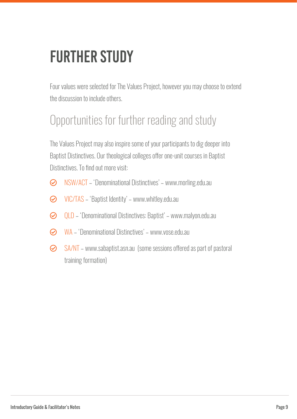## **FURTHER STUDY**

Four values were selected for The Values Project, however you may choose to extend the discussion to include others.

### Opportunities for further reading and study

The Values Project may also inspire some of your participants to dig deeper into Baptist Distinctives. Our theological colleges offer one-unit courses in Baptist Distinctives. To find out more visit:

- $\odot$  NSW/ACT 'Denominational Distinctives' www.morling.edu.au
- $\odot$  VIC/TAS 'Baptist Identity' www.whitley.edu.au
- M QLD 'Denominational Distinctives: Baptist' www.malyon.edu.au
- M WA 'Denominational Distinctives' www.vose.edu.au
- $\odot$  SA/NT www.sabaptist.asn.au (some sessions offered as part of pastoral training formation)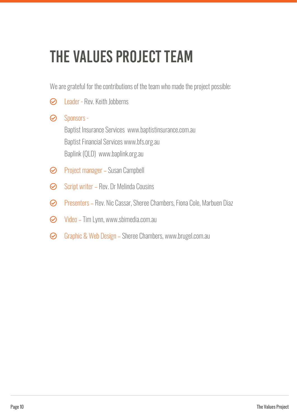## The Values Project Team

We are grateful for the contributions of the team who made the project possible:

- $\odot$  Leader Rev. Keith Jobberns
- **⊘** Sponsors -Baptist Insurance Services www.baptistinsurance.com.au Baptist Financial Services www.bfs.org.au Baplink (QLD) www.baplink.org.au
- **◆** Project manager Susan Campbell
- $\odot$  Script writer Rev. Dr Melinda Cousins
- M Presenters Rev. Nic Cassar, Sheree Chambers, Fiona Cole, Marbuen Diaz
- $\odot$  Video Tim Lynn, www.sbimedia.com.au
- $\odot$  Graphic & Web Design Sheree Chambers, www.brugel.com.au